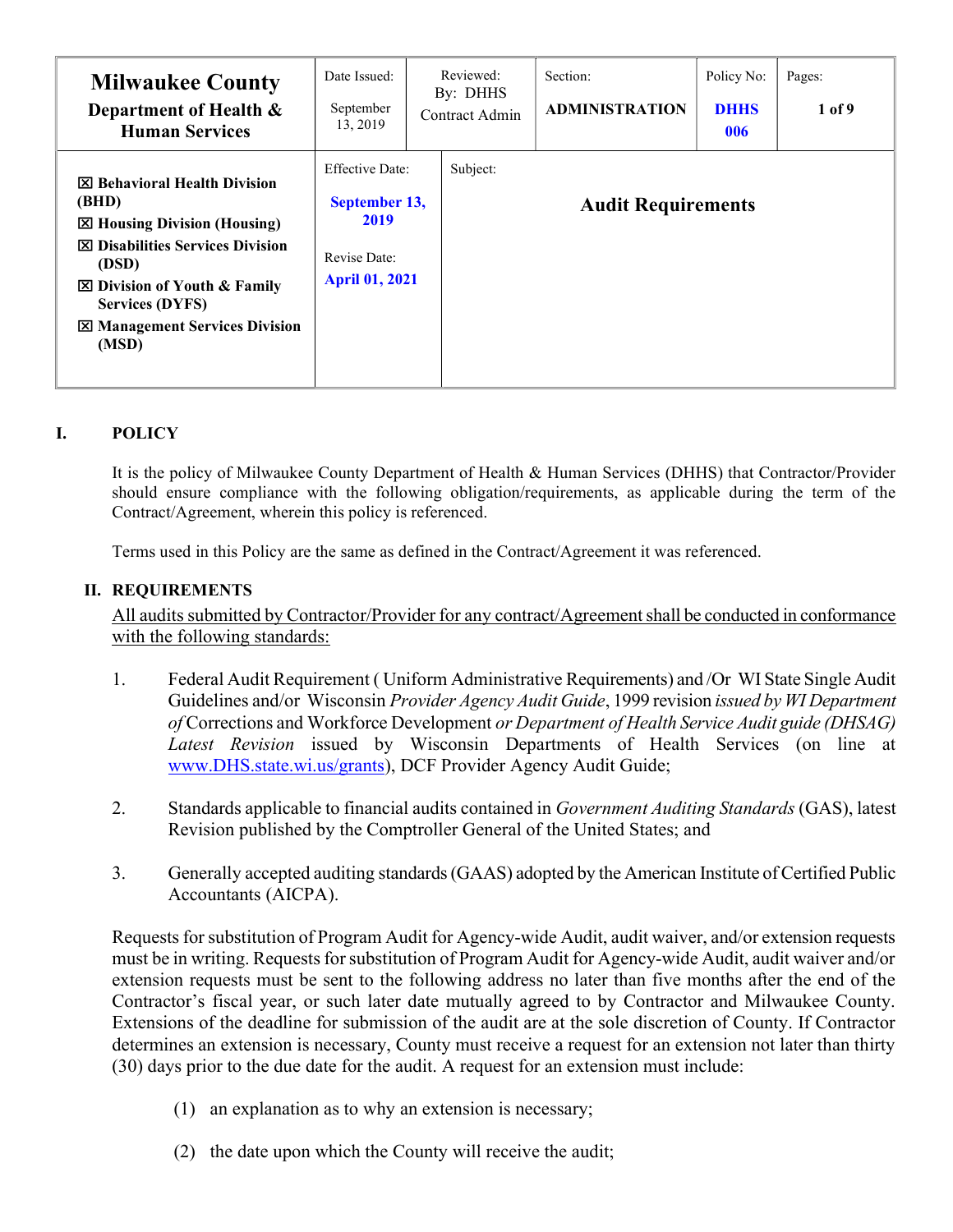| <b>Milwaukee County</b><br>Department of Health &<br><b>Human Services</b>                                                                                                                                                                          | Date Issued:<br>September<br>13, 2019                                                    | Reviewed:<br>By: DHHS<br>Contract Admin | Section:<br><b>ADMINISTRATION</b> | Policy No:<br><b>DHHS</b><br>006 | Pages:<br>1 of 9 |
|-----------------------------------------------------------------------------------------------------------------------------------------------------------------------------------------------------------------------------------------------------|------------------------------------------------------------------------------------------|-----------------------------------------|-----------------------------------|----------------------------------|------------------|
| <b>X</b> Behavioral Health Division<br>(BHD)<br><b>⊠ Housing Division (Housing)</b><br><b>図 Disabilities Services Division</b><br>(DSD)<br>⊠ Division of Youth & Family<br><b>Services (DYFS)</b><br><b>X</b> Management Services Division<br>(MSD) | <b>Effective Date:</b><br>September 13,<br>2019<br>Revise Date:<br><b>April 01, 2021</b> | Subject:                                | <b>Audit Requirements</b>         |                                  |                  |

# I. POLICY

It is the policy of Milwaukee County Department of Health & Human Services (DHHS) that Contractor/Provider should ensure compliance with the following obligation/requirements, as applicable during the term of the Contract/Agreement, wherein this policy is referenced.

Terms used in this Policy are the same as defined in the Contract/Agreement it was referenced.

### II. REQUIREMENTS

 All audits submitted by Contractor/Provider for any contract/Agreement shall be conducted in conformance with the following standards:

- 1. Federal Audit Requirement ( Uniform Administrative Requirements) and /Or WI State Single Audit Guidelines and/or Wisconsin Provider Agency Audit Guide, 1999 revision issued by WI Department of Corrections and Workforce Development or Department of Health Service Audit guide (DHSAG) Latest Revision issued by Wisconsin Departments of Health Services (on line at www.DHS.state.wi.us/grants), DCF Provider Agency Audit Guide;
- 2. Standards applicable to financial audits contained in *Government Auditing Standards* (GAS), latest Revision published by the Comptroller General of the United States; and
- 3. Generally accepted auditing standards (GAAS) adopted by the American Institute of Certified Public Accountants (AICPA).

 Requests for substitution of Program Audit for Agency-wide Audit, audit waiver, and/or extension requests must be in writing. Requests for substitution of Program Audit for Agency-wide Audit, audit waiver and/or extension requests must be sent to the following address no later than five months after the end of the Contractor's fiscal year, or such later date mutually agreed to by Contractor and Milwaukee County. Extensions of the deadline for submission of the audit are at the sole discretion of County. If Contractor determines an extension is necessary, County must receive a request for an extension not later than thirty (30) days prior to the due date for the audit. A request for an extension must include:

- (1) an explanation as to why an extension is necessary;
- (2) the date upon which the County will receive the audit;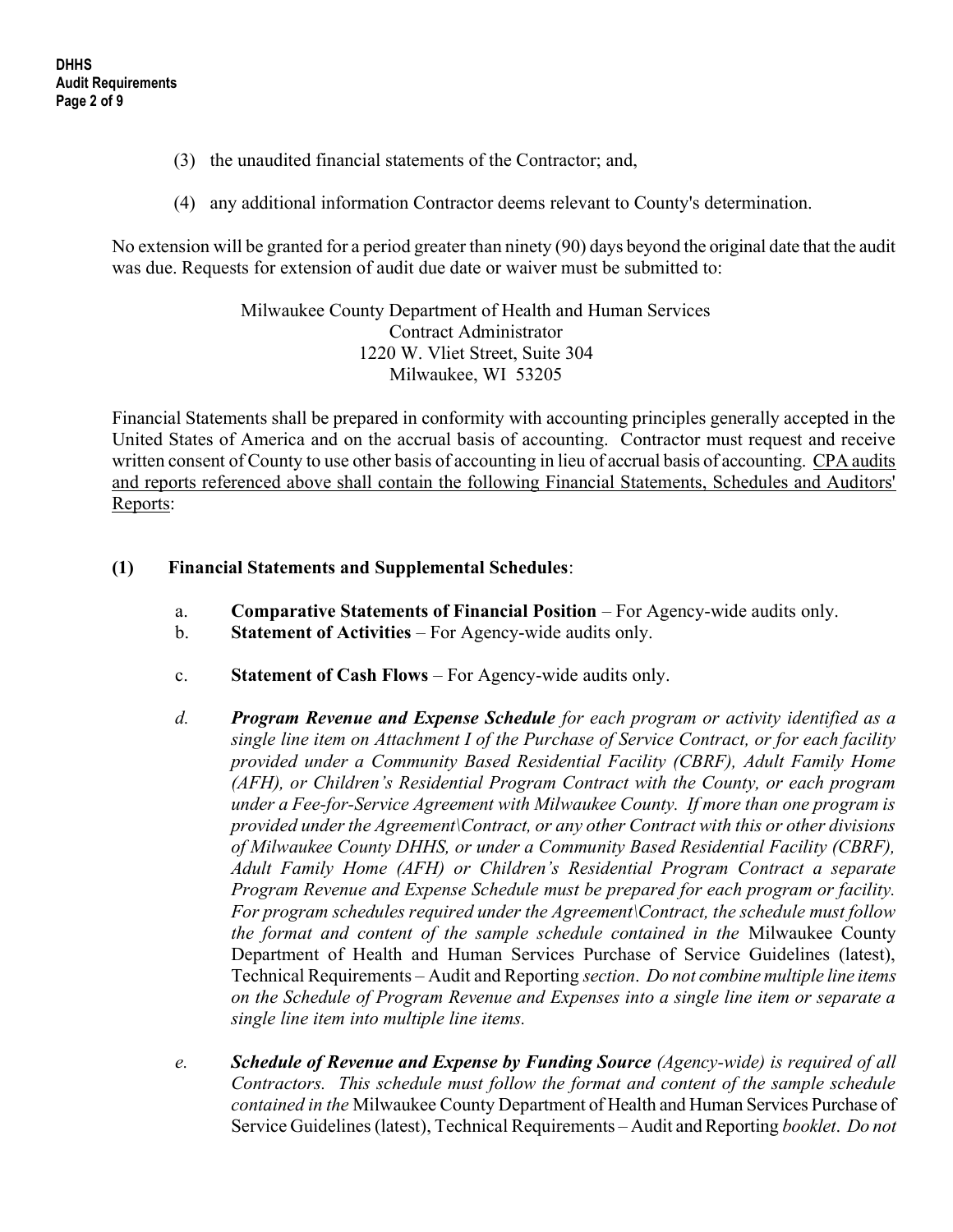- (3) the unaudited financial statements of the Contractor; and,
- (4) any additional information Contractor deems relevant to County's determination.

No extension will be granted for a period greater than ninety (90) days beyond the original date that the audit was due. Requests for extension of audit due date or waiver must be submitted to:

> Milwaukee County Department of Health and Human Services Contract Administrator 1220 W. Vliet Street, Suite 304 Milwaukee, WI 53205

 Financial Statements shall be prepared in conformity with accounting principles generally accepted in the United States of America and on the accrual basis of accounting. Contractor must request and receive written consent of County to use other basis of accounting in lieu of accrual basis of accounting. CPA audits and reports referenced above shall contain the following Financial Statements, Schedules and Auditors' Reports:

### (1) Financial Statements and Supplemental Schedules:

- a. Comparative Statements of Financial Position For Agency-wide audits only.
- b. Statement of Activities For Agency-wide audits only.
- c. Statement of Cash Flows For Agency-wide audits only.
- d. **Program Revenue and Expense Schedule** for each program or activity identified as a single line item on Attachment I of the Purchase of Service Contract, or for each facility provided under a Community Based Residential Facility (CBRF), Adult Family Home (AFH), or Children's Residential Program Contract with the County, or each program under a Fee-for-Service Agreement with Milwaukee County. If more than one program is provided under the Agreement\Contract, or any other Contract with this or other divisions of Milwaukee County DHHS, or under a Community Based Residential Facility (CBRF), Adult Family Home (AFH) or Children's Residential Program Contract a separate Program Revenue and Expense Schedule must be prepared for each program or facility. For program schedules required under the Agreement\Contract, the schedule must follow the format and content of the sample schedule contained in the Milwaukee County Department of Health and Human Services Purchase of Service Guidelines (latest), Technical Requirements – Audit and Reporting section. Do not combine multiple line items on the Schedule of Program Revenue and Expenses into a single line item or separate a single line item into multiple line items.
- e. Schedule of Revenue and Expense by Funding Source (Agency-wide) is required of all Contractors. This schedule must follow the format and content of the sample schedule contained in the Milwaukee County Department of Health and Human Services Purchase of Service Guidelines (latest), Technical Requirements – Audit and Reporting booklet. Do not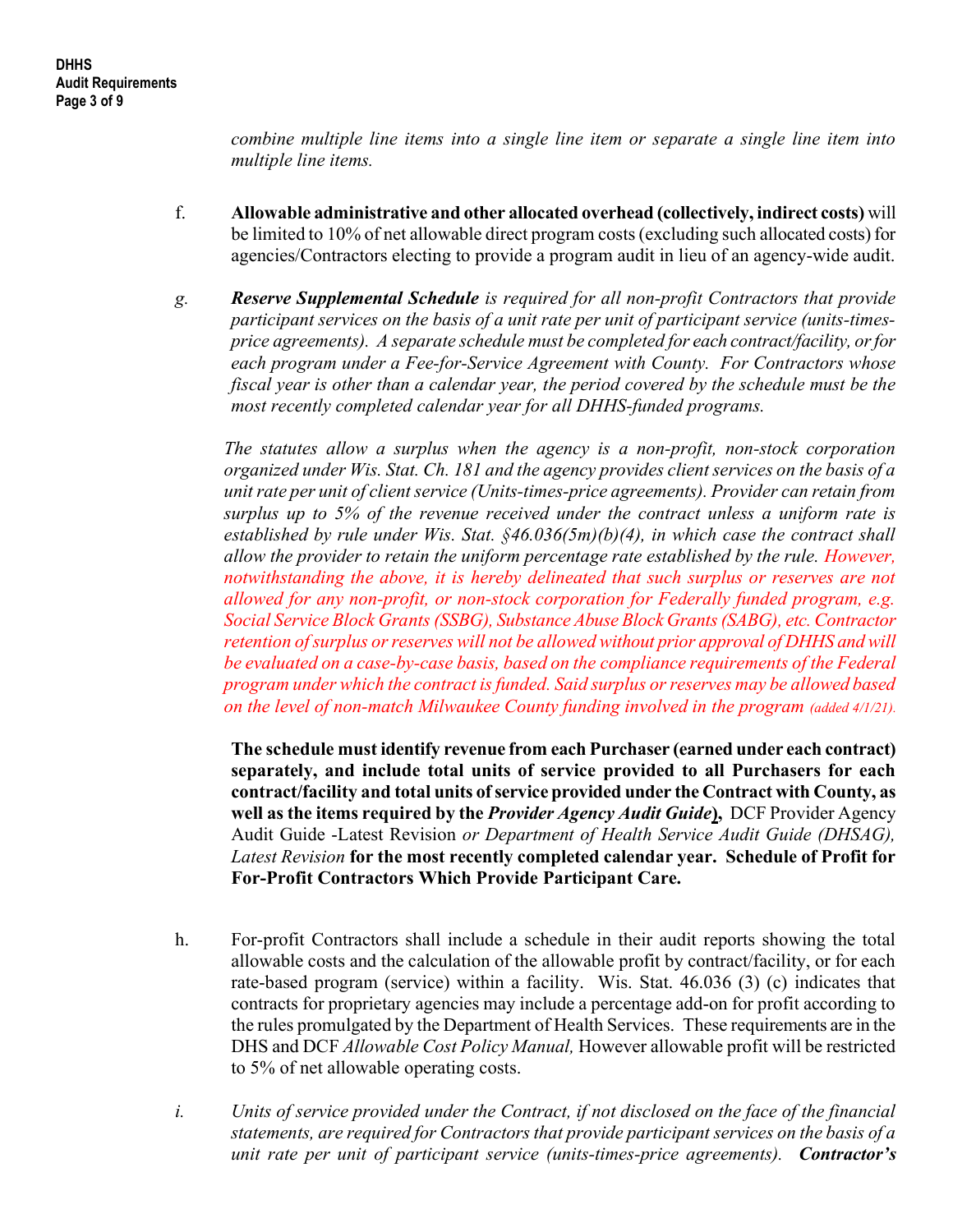combine multiple line items into a single line item or separate a single line item into multiple line items.

- f. Allowable administrative and other allocated overhead (collectively, indirect costs) will be limited to 10% of net allowable direct program costs (excluding such allocated costs) for agencies/Contractors electing to provide a program audit in lieu of an agency-wide audit.
- g. Reserve Supplemental Schedule is required for all non-profit Contractors that provide participant services on the basis of a unit rate per unit of participant service (units-timesprice agreements). A separate schedule must be completed for each contract/facility, or for each program under a Fee-for-Service Agreement with County. For Contractors whose fiscal year is other than a calendar year, the period covered by the schedule must be the most recently completed calendar year for all DHHS-funded programs.

The statutes allow a surplus when the agency is a non-profit, non-stock corporation organized under Wis. Stat. Ch. 181 and the agency provides client services on the basis of a unit rate per unit of client service (Units-times-price agreements). Provider can retain from surplus up to 5% of the revenue received under the contract unless a uniform rate is established by rule under Wis. Stat.  $\frac{6}{46.036(5m)}$ (b)(4), in which case the contract shall allow the provider to retain the uniform percentage rate established by the rule. However, notwithstanding the above, it is hereby delineated that such surplus or reserves are not allowed for any non-profit, or non-stock corporation for Federally funded program, e.g. Social Service Block Grants (SSBG), Substance Abuse Block Grants (SABG), etc. Contractor retention of surplus or reserves will not be allowed without prior approval of DHHS and will be evaluated on a case-by-case basis, based on the compliance requirements of the Federal program under which the contract is funded. Said surplus or reserves may be allowed based on the level of non-match Milwaukee County funding involved in the program (added 4/1/21).

The schedule must identify revenue from each Purchaser (earned under each contract) separately, and include total units of service provided to all Purchasers for each contract/facility and total units of service provided under the Contract with County, as well as the items required by the Provider Agency Audit Guide), DCF Provider Agency Audit Guide -Latest Revision or Department of Health Service Audit Guide (DHSAG), Latest Revision for the most recently completed calendar year. Schedule of Profit for For-Profit Contractors Which Provide Participant Care.

- h. For-profit Contractors shall include a schedule in their audit reports showing the total allowable costs and the calculation of the allowable profit by contract/facility, or for each rate-based program (service) within a facility. Wis. Stat. 46.036 (3) (c) indicates that contracts for proprietary agencies may include a percentage add-on for profit according to the rules promulgated by the Department of Health Services. These requirements are in the DHS and DCF Allowable Cost Policy Manual, However allowable profit will be restricted to 5% of net allowable operating costs.
- i. Units of service provided under the Contract, if not disclosed on the face of the financial statements, are required for Contractors that provide participant services on the basis of a unit rate per unit of participant service (units-times-price agreements). Contractor's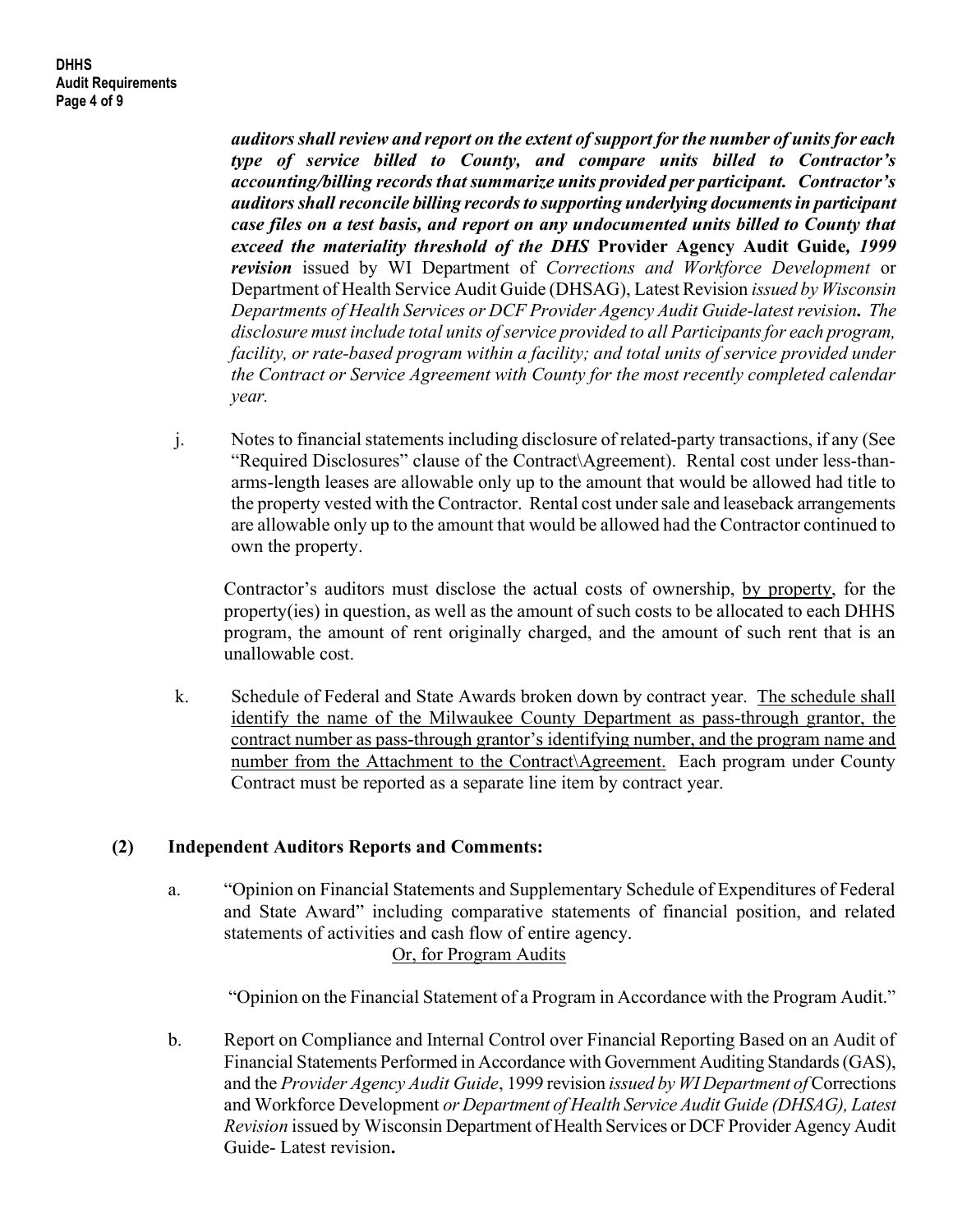auditors shall review and report on the extent of support for the number of units for each type of service billed to County, and compare units billed to Contractor's accounting/billing records that summarize units provided per participant. Contractor's auditors shall reconcile billing records to supporting underlying documents in participant case files on a test basis, and report on any undocumented units billed to County that exceed the materiality threshold of the DHS Provider Agency Audit Guide, 1999 revision issued by WI Department of Corrections and Workforce Development or Department of Health Service Audit Guide (DHSAG), Latest Revision issued by Wisconsin Departments of Health Services or DCF Provider Agency Audit Guide-latest revision. The disclosure must include total units of service provided to all Participants for each program, facility, or rate-based program within a facility; and total units of service provided under the Contract or Service Agreement with County for the most recently completed calendar year.

j. Notes to financial statements including disclosure of related-party transactions, if any (See "Required Disclosures" clause of the Contract\Agreement). Rental cost under less-thanarms-length leases are allowable only up to the amount that would be allowed had title to the property vested with the Contractor. Rental cost under sale and leaseback arrangements are allowable only up to the amount that would be allowed had the Contractor continued to own the property.

Contractor's auditors must disclose the actual costs of ownership, by property, for the property(ies) in question, as well as the amount of such costs to be allocated to each DHHS program, the amount of rent originally charged, and the amount of such rent that is an unallowable cost.

k. Schedule of Federal and State Awards broken down by contract year. The schedule shall identify the name of the Milwaukee County Department as pass-through grantor, the contract number as pass-through grantor's identifying number, and the program name and number from the Attachment to the Contract\Agreement. Each program under County Contract must be reported as a separate line item by contract year.

# (2) Independent Auditors Reports and Comments:

a. "Opinion on Financial Statements and Supplementary Schedule of Expenditures of Federal and State Award" including comparative statements of financial position, and related statements of activities and cash flow of entire agency. Or, for Program Audits

"Opinion on the Financial Statement of a Program in Accordance with the Program Audit."

b. Report on Compliance and Internal Control over Financial Reporting Based on an Audit of Financial Statements Performed in Accordance with Government Auditing Standards (GAS), and the Provider Agency Audit Guide, 1999 revision issued by WI Department of Corrections and Workforce Development or Department of Health Service Audit Guide (DHSAG), Latest Revision issued by Wisconsin Department of Health Services or DCF Provider Agency Audit Guide- Latest revision.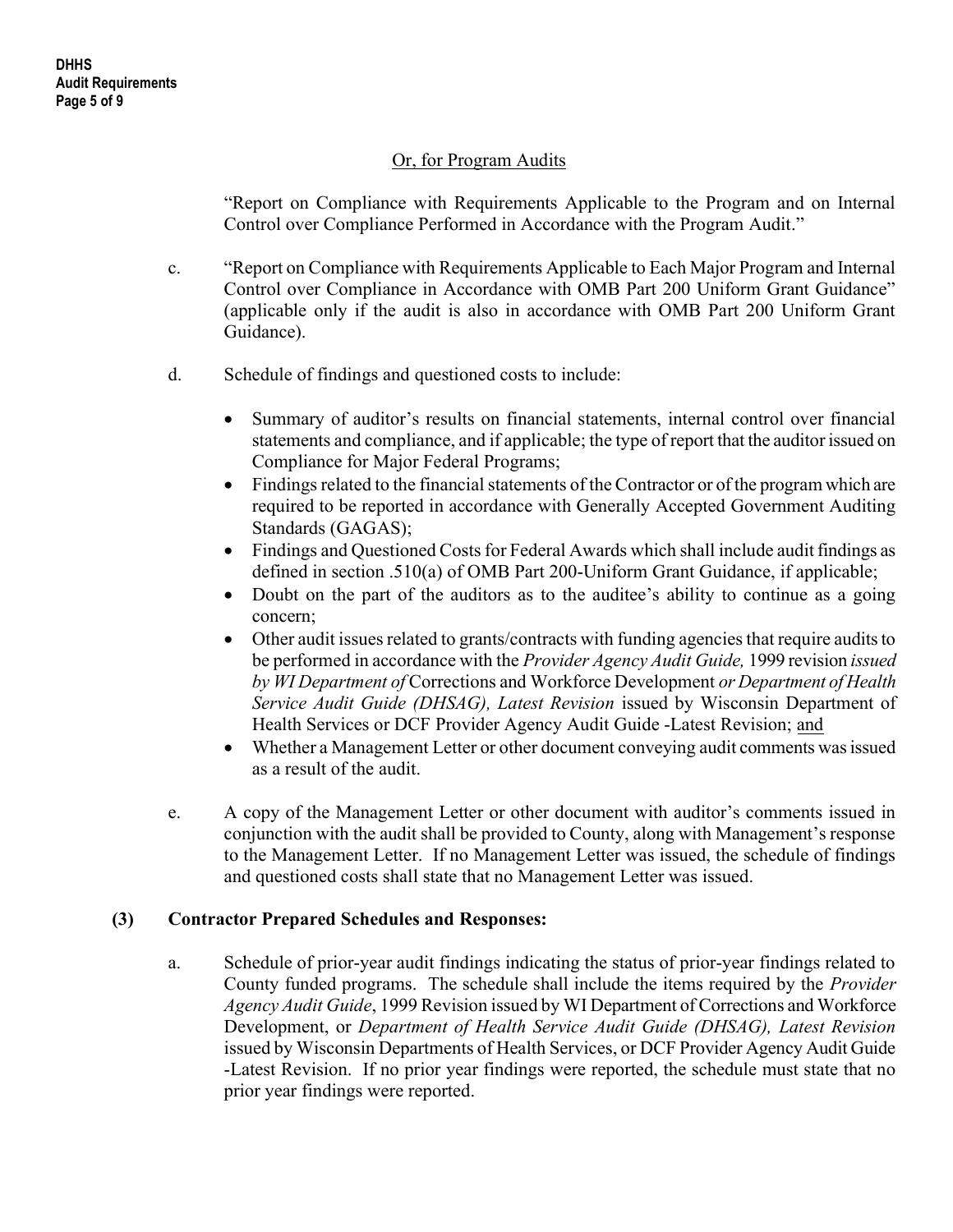### Or, for Program Audits

 "Report on Compliance with Requirements Applicable to the Program and on Internal Control over Compliance Performed in Accordance with the Program Audit."

- c. "Report on Compliance with Requirements Applicable to Each Major Program and Internal Control over Compliance in Accordance with OMB Part 200 Uniform Grant Guidance" (applicable only if the audit is also in accordance with OMB Part 200 Uniform Grant Guidance).
- d. Schedule of findings and questioned costs to include:
	- Summary of auditor's results on financial statements, internal control over financial statements and compliance, and if applicable; the type of report that the auditor issued on Compliance for Major Federal Programs;
	- Findings related to the financial statements of the Contractor or of the program which are required to be reported in accordance with Generally Accepted Government Auditing Standards (GAGAS);
	- Findings and Questioned Costs for Federal Awards which shall include audit findings as defined in section .510(a) of OMB Part 200-Uniform Grant Guidance, if applicable;
	- Doubt on the part of the auditors as to the auditee's ability to continue as a going concern;
	- Other audit issues related to grants/contracts with funding agencies that require audits to be performed in accordance with the Provider Agency Audit Guide, 1999 revision issued by WI Department of Corrections and Workforce Development or Department of Health Service Audit Guide (DHSAG), Latest Revision issued by Wisconsin Department of Health Services or DCF Provider Agency Audit Guide -Latest Revision; and
	- Whether a Management Letter or other document conveying audit comments was issued as a result of the audit.
- e. A copy of the Management Letter or other document with auditor's comments issued in conjunction with the audit shall be provided to County, along with Management's response to the Management Letter. If no Management Letter was issued, the schedule of findings and questioned costs shall state that no Management Letter was issued.

#### (3) Contractor Prepared Schedules and Responses:

a. Schedule of prior-year audit findings indicating the status of prior-year findings related to County funded programs. The schedule shall include the items required by the Provider Agency Audit Guide, 1999 Revision issued by WI Department of Corrections and Workforce Development, or Department of Health Service Audit Guide (DHSAG), Latest Revision issued by Wisconsin Departments of Health Services, or DCF Provider Agency Audit Guide -Latest Revision. If no prior year findings were reported, the schedule must state that no prior year findings were reported.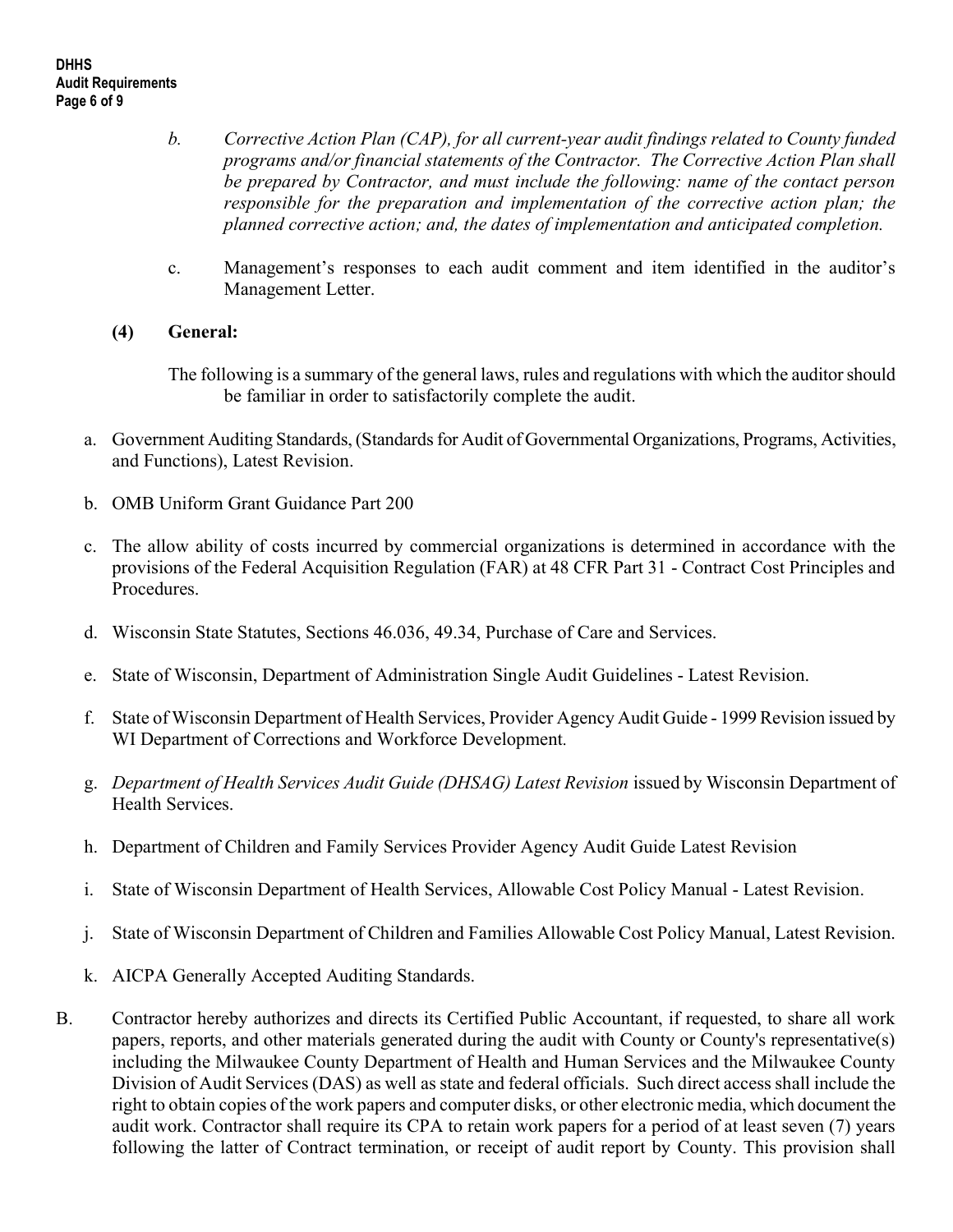- b. Corrective Action Plan (CAP), for all current-year audit findings related to County funded programs and/or financial statements of the Contractor. The Corrective Action Plan shall be prepared by Contractor, and must include the following: name of the contact person responsible for the preparation and implementation of the corrective action plan; the planned corrective action; and, the dates of implementation and anticipated completion.
- c. Management's responses to each audit comment and item identified in the auditor's Management Letter.

# (4) General:

The following is a summary of the general laws, rules and regulations with which the auditor should be familiar in order to satisfactorily complete the audit.

- a. Government Auditing Standards, (Standards for Audit of Governmental Organizations, Programs, Activities, and Functions), Latest Revision.
- b. OMB Uniform Grant Guidance Part 200
- c. The allow ability of costs incurred by commercial organizations is determined in accordance with the provisions of the Federal Acquisition Regulation (FAR) at 48 CFR Part 31 - Contract Cost Principles and Procedures.
- d. Wisconsin State Statutes, Sections 46.036, 49.34, Purchase of Care and Services.
- e. State of Wisconsin, Department of Administration Single Audit Guidelines Latest Revision.
- f. State of Wisconsin Department of Health Services, Provider Agency Audit Guide 1999 Revision issued by WI Department of Corrections and Workforce Development.
- g. Department of Health Services Audit Guide (DHSAG) Latest Revision issued by Wisconsin Department of Health Services.
- h. Department of Children and Family Services Provider Agency Audit Guide Latest Revision
- i. State of Wisconsin Department of Health Services, Allowable Cost Policy Manual Latest Revision.
- j. State of Wisconsin Department of Children and Families Allowable Cost Policy Manual, Latest Revision.
- k. AICPA Generally Accepted Auditing Standards.
- B. Contractor hereby authorizes and directs its Certified Public Accountant, if requested, to share all work papers, reports, and other materials generated during the audit with County or County's representative(s) including the Milwaukee County Department of Health and Human Services and the Milwaukee County Division of Audit Services (DAS) as well as state and federal officials. Such direct access shall include the right to obtain copies of the work papers and computer disks, or other electronic media, which document the audit work. Contractor shall require its CPA to retain work papers for a period of at least seven (7) years following the latter of Contract termination, or receipt of audit report by County. This provision shall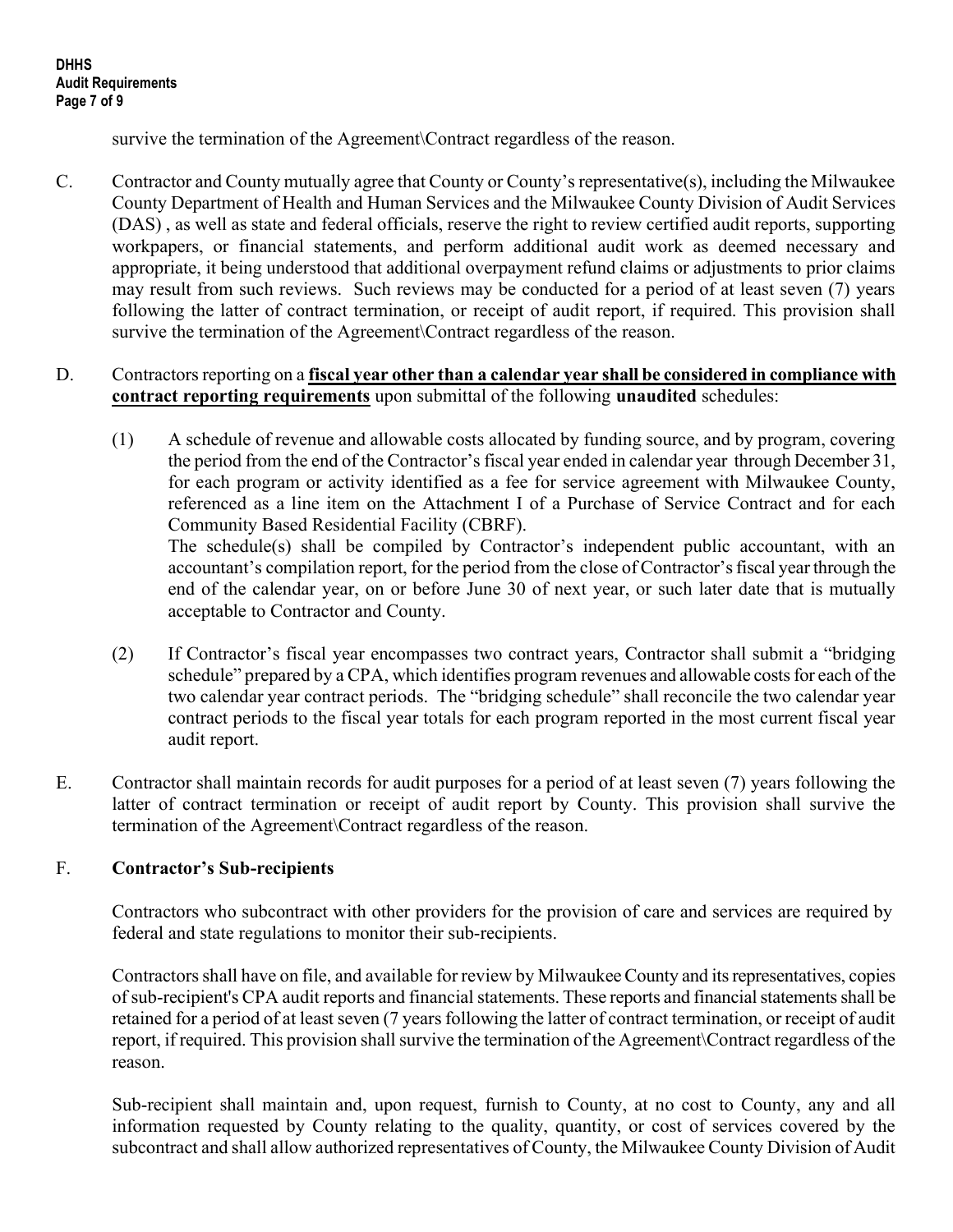survive the termination of the Agreement Contract regardless of the reason.

C. Contractor and County mutually agree that County or County's representative(s), including the Milwaukee County Department of Health and Human Services and the Milwaukee County Division of Audit Services (DAS) , as well as state and federal officials, reserve the right to review certified audit reports, supporting workpapers, or financial statements, and perform additional audit work as deemed necessary and appropriate, it being understood that additional overpayment refund claims or adjustments to prior claims may result from such reviews. Such reviews may be conducted for a period of at least seven (7) years following the latter of contract termination, or receipt of audit report, if required. This provision shall survive the termination of the Agreement Contract regardless of the reason.

### D. Contractors reporting on a fiscal year other than a calendar year shall be considered in compliance with contract reporting requirements upon submittal of the following unaudited schedules:

- (1) A schedule of revenue and allowable costs allocated by funding source, and by program, covering the period from the end of the Contractor's fiscal year ended in calendar year through December 31, for each program or activity identified as a fee for service agreement with Milwaukee County, referenced as a line item on the Attachment I of a Purchase of Service Contract and for each Community Based Residential Facility (CBRF). The schedule(s) shall be compiled by Contractor's independent public accountant, with an accountant's compilation report, for the period from the close of Contractor's fiscal year through the end of the calendar year, on or before June 30 of next year, or such later date that is mutually acceptable to Contractor and County.
- (2) If Contractor's fiscal year encompasses two contract years, Contractor shall submit a "bridging schedule" prepared by a CPA, which identifies program revenues and allowable costs for each of the two calendar year contract periods. The "bridging schedule" shall reconcile the two calendar year contract periods to the fiscal year totals for each program reported in the most current fiscal year audit report.
- E. Contractor shall maintain records for audit purposes for a period of at least seven (7) years following the latter of contract termination or receipt of audit report by County. This provision shall survive the termination of the Agreement\Contract regardless of the reason.

# F. Contractor's Sub-recipients

Contractors who subcontract with other providers for the provision of care and services are required by federal and state regulations to monitor their sub-recipients.

 Contractors shall have on file, and available for review by Milwaukee County and its representatives, copies of sub-recipient's CPA audit reports and financial statements. These reports and financial statements shall be retained for a period of at least seven (7 years following the latter of contract termination, or receipt of audit report, if required. This provision shall survive the termination of the Agreement\Contract regardless of the reason.

 Sub-recipient shall maintain and, upon request, furnish to County, at no cost to County, any and all information requested by County relating to the quality, quantity, or cost of services covered by the subcontract and shall allow authorized representatives of County, the Milwaukee County Division of Audit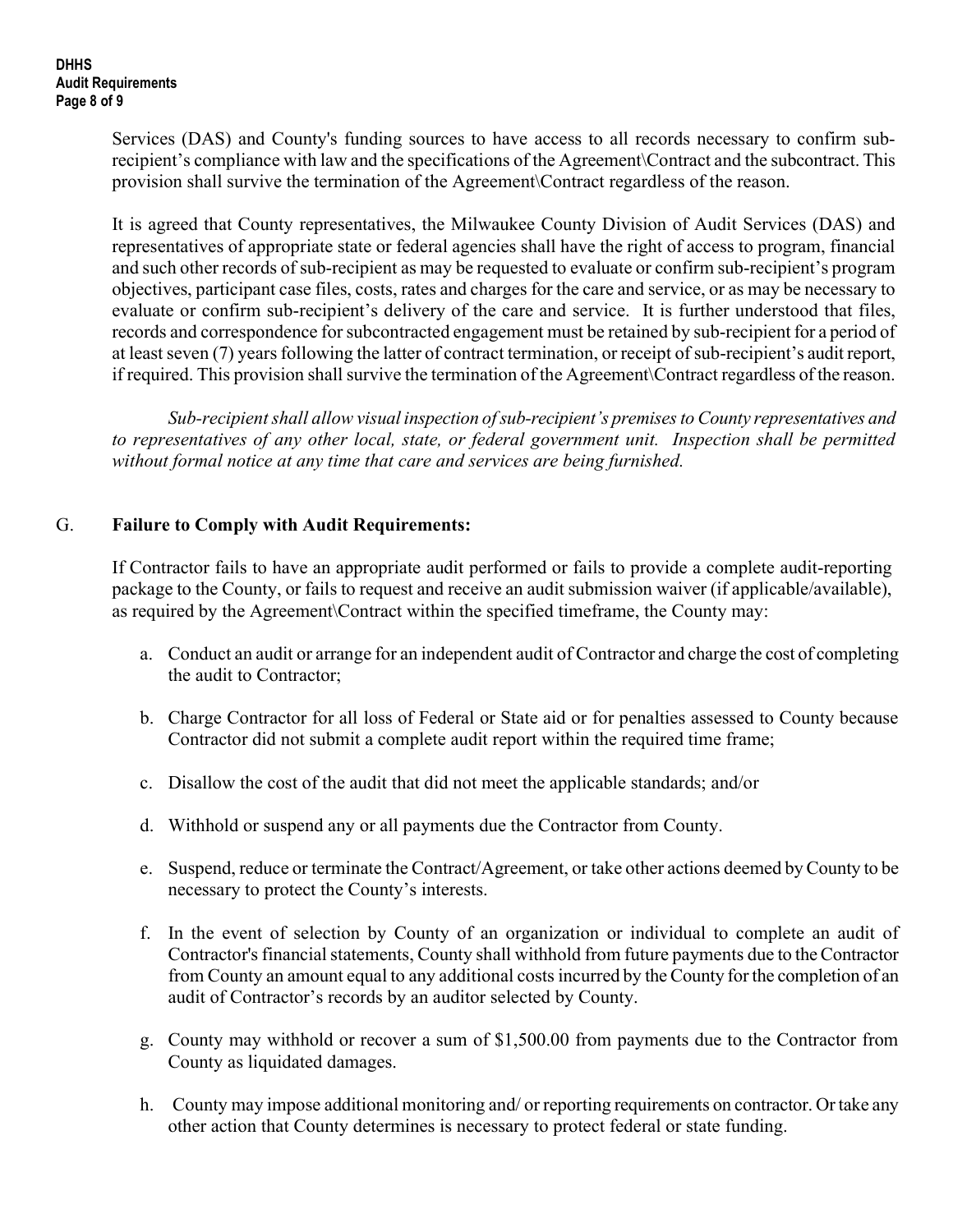Services (DAS) and County's funding sources to have access to all records necessary to confirm subrecipient's compliance with law and the specifications of the Agreement\Contract and the subcontract. This provision shall survive the termination of the Agreement\Contract regardless of the reason.

 It is agreed that County representatives, the Milwaukee County Division of Audit Services (DAS) and representatives of appropriate state or federal agencies shall have the right of access to program, financial and such other records of sub-recipient as may be requested to evaluate or confirm sub-recipient's program objectives, participant case files, costs, rates and charges for the care and service, or as may be necessary to evaluate or confirm sub-recipient's delivery of the care and service. It is further understood that files, records and correspondence for subcontracted engagement must be retained by sub-recipient for a period of at least seven (7) years following the latter of contract termination, or receipt of sub-recipient's audit report, if required. This provision shall survive the termination of the Agreement\Contract regardless of the reason.

 Sub-recipient shall allow visual inspection of sub-recipient's premises to County representatives and to representatives of any other local, state, or federal government unit. Inspection shall be permitted without formal notice at any time that care and services are being furnished.

### G. Failure to Comply with Audit Requirements:

 If Contractor fails to have an appropriate audit performed or fails to provide a complete audit-reporting package to the County, or fails to request and receive an audit submission waiver (if applicable/available), as required by the Agreement\Contract within the specified timeframe, the County may:

- a. Conduct an audit or arrange for an independent audit of Contractor and charge the cost of completing the audit to Contractor;
- b. Charge Contractor for all loss of Federal or State aid or for penalties assessed to County because Contractor did not submit a complete audit report within the required time frame;
- c. Disallow the cost of the audit that did not meet the applicable standards; and/or
- d. Withhold or suspend any or all payments due the Contractor from County.
- e. Suspend, reduce or terminate the Contract/Agreement, or take other actions deemed by County to be necessary to protect the County's interests.
- f. In the event of selection by County of an organization or individual to complete an audit of Contractor's financial statements, County shall withhold from future payments due to the Contractor from County an amount equal to any additional costs incurred by the County for the completion of an audit of Contractor's records by an auditor selected by County.
- g. County may withhold or recover a sum of \$1,500.00 from payments due to the Contractor from County as liquidated damages.
- h. County may impose additional monitoring and/ or reporting requirements on contractor. Or take any other action that County determines is necessary to protect federal or state funding.